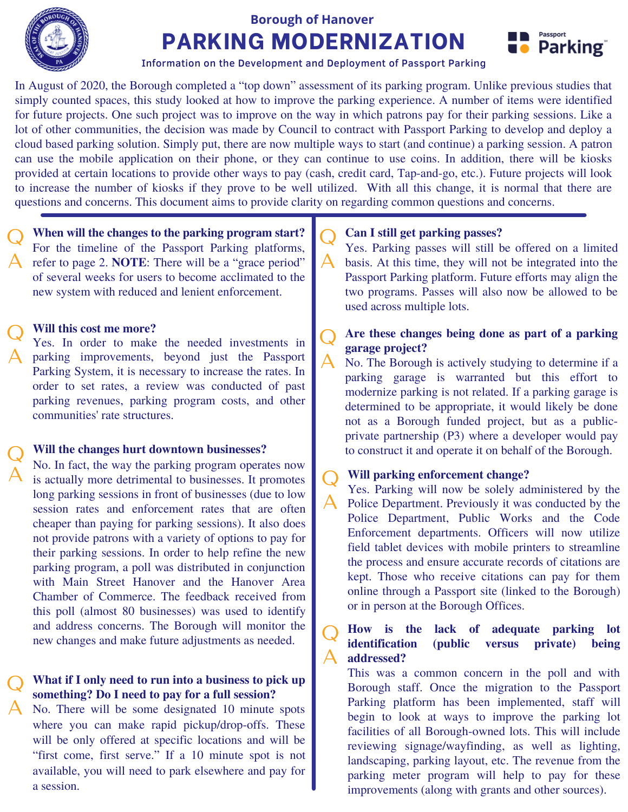

# **PARKING MODERNIZATION Borough of Hanover**



Information on the Development and Deployment of Passport Parking

In August of 2020, the Borough completed a "top down" assessment of its parking program. Unlike previous studies that simply counted spaces, this study looked at how to improve the parking experience. A number of items were identified for future projects. One such project was to improve on the way in which patrons pay for their parking sessions. Like a lot of other communities, the decision was made by Council to contract with Passport Parking to develop and deploy a cloud based parking solution. Simply put, there are now multiple ways to start (and continue) a parking session. A patron can use the mobile application on their phone, or they can continue to use coins. In addition, there will be kiosks provided at certain locations to provide other ways to pay (cash, credit card, Tap-and-go, etc.). Future projects will look to increase the number of kiosks if they prove to be well utilized. With all this change, it is normal that there are questions and concerns. This document aims to provide clarity on regarding common questions and concerns.

**When will the changes to the parking program start?** For the timeline of the Passport Parking platforms, A refer to page 2. **NOTE**: There will be a "grace period" of several weeks for users to become acclimated to the new system with reduced and lenient enforcement. Q

### **Will this cost me more?** Q

A

Yes. In order to make the needed investments in parking improvements, beyond just the Passport A Parking System, it is necessary to increase the rates. In order to set rates, a review was conducted of past parking revenues, parking program costs, and other communities' rate structures.

### **Will the changes hurt downtown businesses?** Q

No. In fact, the way the parking program operates now is actually more detrimental to businesses. It promotes long parking sessions in front of businesses (due to low session rates and enforcement rates that are often cheaper than paying for parking sessions). It also does not provide patrons with a variety of options to pay for their parking sessions. In order to help refine the new parking program, a poll was distributed in conjunction with Main Street Hanover and the Hanover Area Chamber of Commerce. The feedback received from this poll (almost 80 businesses) was used to identify and address concerns. The Borough will monitor the new changes and make future adjustments as needed.

#### **What if I only need to run into a business to pick up something? Do I need to pay for a full session?** Q

A No. There will be some designated 10 minute spots where you can make rapid pickup/drop-offs. These will be only offered at specific locations and will be "first come, first serve." If a 10 minute spot is not available, you will need to park elsewhere and pay for a session.

### **Can I still get parking passes?** Q

Yes. Parking passes will still be offered on a limited basis. At this time, they will not be integrated into the Passport Parking platform. Future efforts may align the two programs. Passes will also now be allowed to be used across multiple lots.  $\mathsf{A}$  .

### **Are these changes being done as part of a parking garage project?** Q  $\mathsf A$

No. The Borough is actively studying to determine if a parking garage is warranted but this effort to modernize parking is not related. If a parking garage is determined to be appropriate, it would likely be done not as a Borough funded project, but as a publicprivate partnership (P3) where a developer would pay to construct it and operate it on behalf of the Borough.

### **Will parking enforcement change?** Q

Yes. Parking will now be solely administered by the Police Department. Previously it was conducted by the Police Department, Public Works and the Code Enforcement departments. Officers will now utilize field tablet devices with mobile printers to streamline the process and ensure accurate records of citations are kept. Those who receive citations can pay for them online through a Passport site (linked to the Borough) or in person at the Borough Offices. A

**How is the lack of adequate parking lot identification (public versus private) being addressed?** Q  $\mathbf{\Delta}^-$ 

This was a common concern in the poll and with Borough staff. Once the migration to the Passport Parking platform has been implemented, staff will begin to look at ways to improve the parking lot facilities of all Borough-owned lots. This will include reviewing signage/wayfinding, as well as lighting, landscaping, parking layout, etc. The revenue from the parking meter program will help to pay for these improvements (along with grants and other sources).